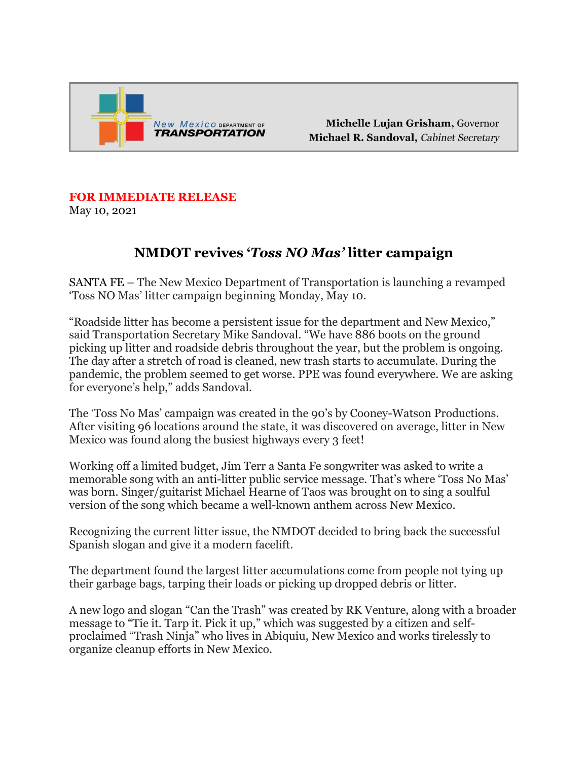

Michelle Lujan Grisham, Governor Michael R. Sandoval, Cabinet Secretary

## **FOR IMMEDIATE RELEASE**

May 10, 2021

## **NMDOT revives '***Toss NO Mas'* **litter campaign**

SANTA FE – The New Mexico Department of Transportation is launching a revamped 'Toss NO Mas' litter campaign beginning Monday, May 10.

"Roadside litter has become a persistent issue for the department and New Mexico," said Transportation Secretary Mike Sandoval. "We have 886 boots on the ground picking up litter and roadside debris throughout the year, but the problem is ongoing. The day after a stretch of road is cleaned, new trash starts to accumulate. During the pandemic, the problem seemed to get worse. PPE was found everywhere. We are asking for everyone's help," adds Sandoval.

The 'Toss No Mas' campaign was created in the 90's by Cooney-Watson Productions. After visiting 96 locations around the state, it was discovered on average, litter in New Mexico was found along the busiest highways every 3 feet!

Working off a limited budget, Jim Terr a Santa Fe songwriter was asked to write a memorable song with an anti-litter public service message. That's where 'Toss No Mas' was born. Singer/guitarist Michael Hearne of Taos was brought on to sing a soulful version of the song which became a well-known anthem across New Mexico.

Recognizing the current litter issue, the NMDOT decided to bring back the successful Spanish slogan and give it a modern facelift.

The department found the largest litter accumulations come from people not tying up their garbage bags, tarping their loads or picking up dropped debris or litter.

A new logo and slogan "Can the Trash" was created by RK Venture, along with a broader message to "Tie it. Tarp it. Pick it up," which was suggested by a citizen and selfproclaimed "Trash Ninja" who lives in Abiquiu, New Mexico and works tirelessly to organize cleanup efforts in New Mexico.